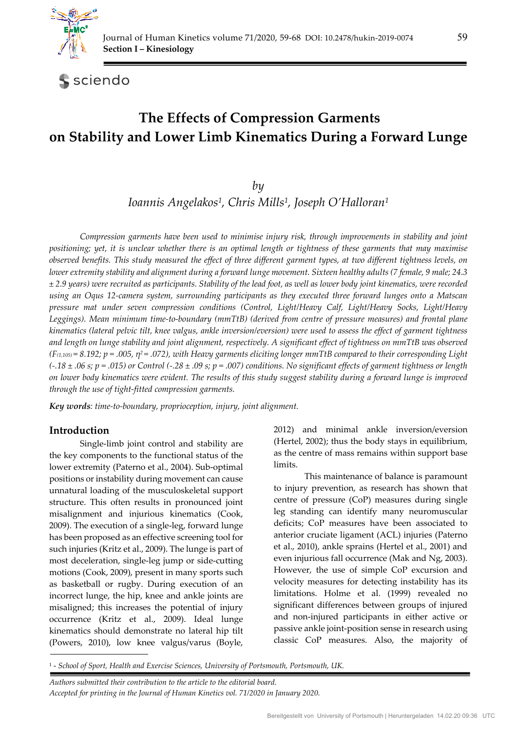

sciendo

# **The Effects of Compression Garments on Stability and Lower Limb Kinematics During a Forward Lunge**

*by* 

*Ioannis Angelakos1, Chris Mills1, Joseph O'Halloran1*

*Compression garments have been used to minimise injury risk, through improvements in stability and joint positioning; yet, it is unclear whether there is an optimal length or tightness of these garments that may maximise observed benefits. This study measured the effect of three different garment types, at two different tightness levels, on lower extremity stability and alignment during a forward lunge movement. Sixteen healthy adults (7 female, 9 male; 24.3 ± 2.9 years) were recruited as participants. Stability of the lead foot, as well as lower body joint kinematics, were recorded using an Oqus 12-camera system, surrounding participants as they executed three forward lunges onto a Matscan pressure mat under seven compression conditions (Control, Light/Heavy Calf, Light/Heavy Socks, Light/Heavy Leggings). Mean minimum time-to-boundary (mmTtB) (derived from centre of pressure measures) and frontal plane kinematics (lateral pelvic tilt, knee valgus, ankle inversion/eversion) were used to assess the effect of garment tightness and length on lunge stability and joint alignment, respectively. A significant effect of tightness on mmTtB was observed (F(1,105) = 8.192; p = .005, η2 = .072), with Heavy garments eliciting longer mmTtB compared to their corresponding Light (-.18 ± .06 s; p = .015) or Control (-.28 ± .09 s; p = .007) conditions. No significant effects of garment tightness or length on lower body kinematics were evident. The results of this study suggest stability during a forward lunge is improved through the use of tight-fitted compression garments.* 

*Key words: time-to-boundary, proprioception, injury, joint alignment.* 

## **Introduction**

Single-limb joint control and stability are the key components to the functional status of the lower extremity (Paterno et al., 2004). Sub-optimal positions or instability during movement can cause unnatural loading of the musculoskeletal support structure. This often results in pronounced joint misalignment and injurious kinematics (Cook, 2009). The execution of a single-leg, forward lunge has been proposed as an effective screening tool for such injuries (Kritz et al., 2009). The lunge is part of most deceleration, single-leg jump or side-cutting motions (Cook, 2009), present in many sports such as basketball or rugby. During execution of an incorrect lunge, the hip, knee and ankle joints are misaligned; this increases the potential of injury occurrence (Kritz et al., 2009). Ideal lunge kinematics should demonstrate no lateral hip tilt (Powers, 2010), low knee valgus/varus (Boyle,

2012) and minimal ankle inversion/eversion (Hertel, 2002); thus the body stays in equilibrium, as the centre of mass remains within support base limits.

This maintenance of balance is paramount to injury prevention, as research has shown that centre of pressure (CoP) measures during single leg standing can identify many neuromuscular deficits; CoP measures have been associated to anterior cruciate ligament (ACL) injuries (Paterno et al., 2010), ankle sprains (Hertel et al., 2001) and even injurious fall occurrence (Mak and Ng, 2003). However, the use of simple CoP excursion and velocity measures for detecting instability has its limitations. Holme et al. (1999) revealed no significant differences between groups of injured and non-injured participants in either active or passive ankle joint-position sense in research using classic CoP measures. Also, the majority of

1 - *School of Sport, Health and Exercise Sciences, University of Portsmouth, Portsmouth, UK.* 

*Authors submitted their contribution to the article to the editorial board. Accepted for printing in the Journal of Human Kinetics vol. 71/2020 in January 2020.*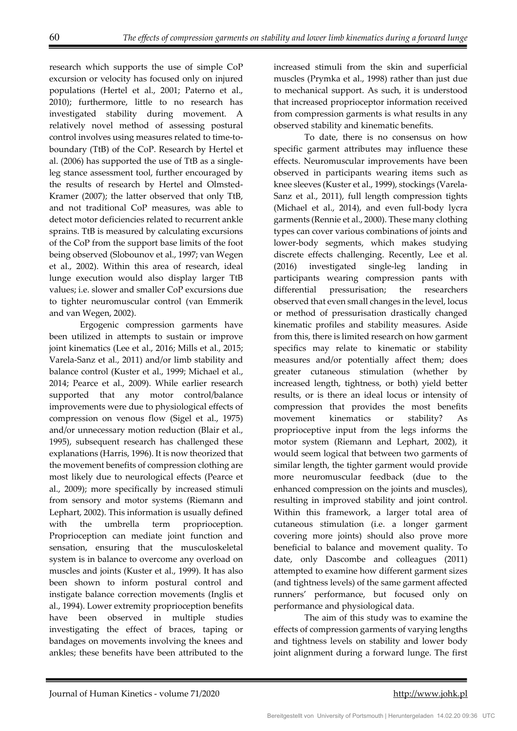research which supports the use of simple CoP excursion or velocity has focused only on injured populations (Hertel et al., 2001; Paterno et al., 2010); furthermore, little to no research has investigated stability during movement. A relatively novel method of assessing postural control involves using measures related to time-toboundary (TtB) of the CoP. Research by Hertel et al. (2006) has supported the use of TtB as a singleleg stance assessment tool, further encouraged by the results of research by Hertel and Olmsted-Kramer (2007); the latter observed that only TtB, and not traditional CoP measures, was able to detect motor deficiencies related to recurrent ankle sprains. TtB is measured by calculating excursions of the CoP from the support base limits of the foot being observed (Slobounov et al., 1997; van Wegen et al., 2002). Within this area of research, ideal lunge execution would also display larger TtB values; i.e. slower and smaller CoP excursions due to tighter neuromuscular control (van Emmerik and van Wegen, 2002).

Ergogenic compression garments have been utilized in attempts to sustain or improve joint kinematics (Lee et al., 2016; Mills et al., 2015; Varela-Sanz et al., 2011) and/or limb stability and balance control (Kuster et al., 1999; Michael et al., 2014; Pearce et al., 2009). While earlier research supported that any motor control/balance improvements were due to physiological effects of compression on venous flow (Sigel et al., 1975) and/or unnecessary motion reduction (Blair et al., 1995), subsequent research has challenged these explanations (Harris, 1996). It is now theorized that the movement benefits of compression clothing are most likely due to neurological effects (Pearce et al., 2009); more specifically by increased stimuli from sensory and motor systems (Riemann and Lephart, 2002). This information is usually defined with the umbrella term proprioception. Proprioception can mediate joint function and sensation, ensuring that the musculoskeletal system is in balance to overcome any overload on muscles and joints (Kuster et al., 1999). It has also been shown to inform postural control and instigate balance correction movements (Inglis et al., 1994). Lower extremity proprioception benefits have been observed in multiple studies investigating the effect of braces, taping or bandages on movements involving the knees and ankles; these benefits have been attributed to the

increased stimuli from the skin and superficial muscles (Prymka et al., 1998) rather than just due to mechanical support. As such, it is understood that increased proprioceptor information received from compression garments is what results in any observed stability and kinematic benefits.

To date, there is no consensus on how specific garment attributes may influence these effects. Neuromuscular improvements have been observed in participants wearing items such as knee sleeves (Kuster et al., 1999), stockings (Varela-Sanz et al., 2011), full length compression tights (Michael et al., 2014), and even full-body lycra garments (Rennie et al., 2000). These many clothing types can cover various combinations of joints and lower-body segments, which makes studying discrete effects challenging. Recently, Lee et al. (2016) investigated single-leg landing in participants wearing compression pants with differential pressurisation; the researchers observed that even small changes in the level, locus or method of pressurisation drastically changed kinematic profiles and stability measures. Aside from this, there is limited research on how garment specifics may relate to kinematic or stability measures and/or potentially affect them; does greater cutaneous stimulation (whether by increased length, tightness, or both) yield better results, or is there an ideal locus or intensity of compression that provides the most benefits movement kinematics or stability? As proprioceptive input from the legs informs the motor system (Riemann and Lephart, 2002), it would seem logical that between two garments of similar length, the tighter garment would provide more neuromuscular feedback (due to the enhanced compression on the joints and muscles), resulting in improved stability and joint control. Within this framework, a larger total area of cutaneous stimulation (i.e. a longer garment covering more joints) should also prove more beneficial to balance and movement quality. To date, only Dascombe and colleagues (2011) attempted to examine how different garment sizes (and tightness levels) of the same garment affected runners' performance, but focused only on performance and physiological data.

The aim of this study was to examine the effects of compression garments of varying lengths and tightness levels on stability and lower body joint alignment during a forward lunge. The first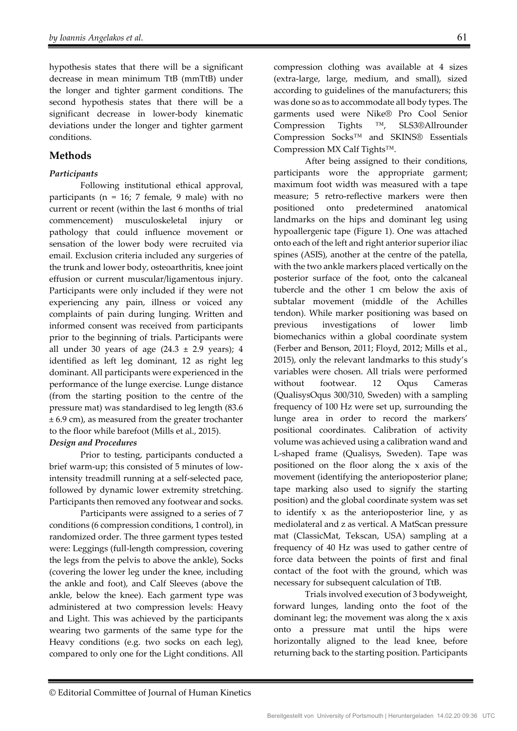hypothesis states that there will be a significant decrease in mean minimum TtB (mmTtB) under the longer and tighter garment conditions. The second hypothesis states that there will be a significant decrease in lower-body kinematic deviations under the longer and tighter garment conditions.

## **Methods**

#### *Participants*

Following institutional ethical approval, participants ( $n = 16$ ; 7 female, 9 male) with no current or recent (within the last 6 months of trial commencement) musculoskeletal injury or pathology that could influence movement or sensation of the lower body were recruited via email. Exclusion criteria included any surgeries of the trunk and lower body, osteoarthritis, knee joint effusion or current muscular/ligamentous injury. Participants were only included if they were not experiencing any pain, illness or voiced any complaints of pain during lunging. Written and informed consent was received from participants prior to the beginning of trials. Participants were all under 30 years of age  $(24.3 \pm 2.9 \text{ years})$ ; 4 identified as left leg dominant, 12 as right leg dominant. All participants were experienced in the performance of the lunge exercise. Lunge distance (from the starting position to the centre of the pressure mat) was standardised to leg length (83.6 ± 6.9 cm), as measured from the greater trochanter to the floor while barefoot (Mills et al., 2015).

#### *Design and Procedures*

Prior to testing, participants conducted a brief warm-up; this consisted of 5 minutes of lowintensity treadmill running at a self-selected pace, followed by dynamic lower extremity stretching. Participants then removed any footwear and socks.

Participants were assigned to a series of 7 conditions (6 compression conditions, 1 control), in randomized order. The three garment types tested were: Leggings (full-length compression, covering the legs from the pelvis to above the ankle), Socks (covering the lower leg under the knee, including the ankle and foot), and Calf Sleeves (above the ankle, below the knee). Each garment type was administered at two compression levels: Heavy and Light. This was achieved by the participants wearing two garments of the same type for the Heavy conditions (e.g. two socks on each leg), compared to only one for the Light conditions. All

compression clothing was available at 4 sizes (extra-large, large, medium, and small), sized according to guidelines of the manufacturers; this was done so as to accommodate all body types. The garments used were Nike® Pro Cool Senior Compression Tights ™, SLS3®Allrounder Compression Socks™ and SKINS® Essentials Compression MX Calf Tights™.

After being assigned to their conditions, participants wore the appropriate garment; maximum foot width was measured with a tape measure; 5 retro-reflective markers were then positioned onto predetermined anatomical landmarks on the hips and dominant leg using hypoallergenic tape (Figure 1). One was attached onto each of the left and right anterior superior iliac spines (ASIS), another at the centre of the patella, with the two ankle markers placed vertically on the posterior surface of the foot, onto the calcaneal tubercle and the other 1 cm below the axis of subtalar movement (middle of the Achilles tendon). While marker positioning was based on previous investigations of lower limb biomechanics within a global coordinate system (Ferber and Benson, 2011; Floyd, 2012; Mills et al., 2015), only the relevant landmarks to this study's variables were chosen. All trials were performed without footwear. 12 Oqus Cameras (QualisysOqus 300/310, Sweden) with a sampling frequency of 100 Hz were set up, surrounding the lunge area in order to record the markers' positional coordinates. Calibration of activity volume was achieved using a calibration wand and L-shaped frame (Qualisys, Sweden). Tape was positioned on the floor along the x axis of the movement (identifying the anterioposterior plane; tape marking also used to signify the starting position) and the global coordinate system was set to identify  $x$  as the anterioposterior line,  $y$  as mediolateral and z as vertical. A MatScan pressure mat (ClassicMat, Tekscan, USA) sampling at a frequency of 40 Hz was used to gather centre of force data between the points of first and final contact of the foot with the ground, which was necessary for subsequent calculation of TtB.

Trials involved execution of 3 bodyweight, forward lunges, landing onto the foot of the dominant leg; the movement was along the x axis onto a pressure mat until the hips were horizontally aligned to the lead knee, before returning back to the starting position. Participants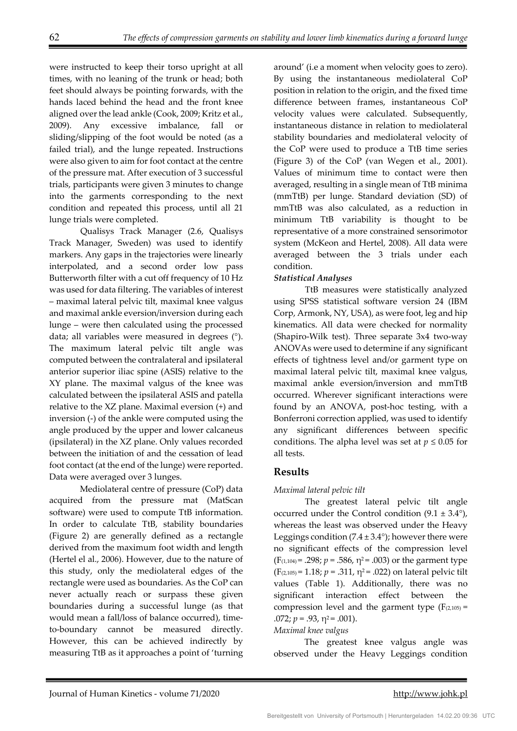were instructed to keep their torso upright at all times, with no leaning of the trunk or head; both feet should always be pointing forwards, with the hands laced behind the head and the front knee aligned over the lead ankle (Cook, 2009; Kritz et al., 2009). Any excessive imbalance, fall or sliding/slipping of the foot would be noted (as a failed trial), and the lunge repeated. Instructions were also given to aim for foot contact at the centre of the pressure mat. After execution of 3 successful trials, participants were given 3 minutes to change into the garments corresponding to the next condition and repeated this process, until all 21 lunge trials were completed.

Qualisys Track Manager (2.6, Qualisys Track Manager, Sweden) was used to identify markers. Any gaps in the trajectories were linearly interpolated, and a second order low pass Butterworth filter with a cut off frequency of 10 Hz was used for data filtering. The variables of interest – maximal lateral pelvic tilt, maximal knee valgus and maximal ankle eversion/inversion during each lunge – were then calculated using the processed data; all variables were measured in degrees (°). The maximum lateral pelvic tilt angle was computed between the contralateral and ipsilateral anterior superior iliac spine (ASIS) relative to the XY plane. The maximal valgus of the knee was calculated between the ipsilateral ASIS and patella relative to the XZ plane. Maximal eversion (+) and inversion (-) of the ankle were computed using the angle produced by the upper and lower calcaneus (ipsilateral) in the XZ plane. Only values recorded between the initiation of and the cessation of lead foot contact (at the end of the lunge) were reported. Data were averaged over 3 lunges.

 Mediolateral centre of pressure (CoP) data acquired from the pressure mat (MatScan software) were used to compute TtB information. In order to calculate TtB, stability boundaries (Figure 2) are generally defined as a rectangle derived from the maximum foot width and length (Hertel el al., 2006). However, due to the nature of this study, only the mediolateral edges of the rectangle were used as boundaries. As the CoP can never actually reach or surpass these given boundaries during a successful lunge (as that would mean a fall/loss of balance occurred), timeto-boundary cannot be measured directly. However, this can be achieved indirectly by measuring TtB as it approaches a point of 'turning

around' (i.e a moment when velocity goes to zero). By using the instantaneous mediolateral CoP position in relation to the origin, and the fixed time difference between frames, instantaneous CoP velocity values were calculated. Subsequently, instantaneous distance in relation to mediolateral stability boundaries and mediolateral velocity of the CoP were used to produce a TtB time series (Figure 3) of the CoP (van Wegen et al., 2001). Values of minimum time to contact were then averaged, resulting in a single mean of TtB minima (mmTtB) per lunge. Standard deviation (SD) of mmTtB was also calculated, as a reduction in minimum TtB variability is thought to be representative of a more constrained sensorimotor system (McKeon and Hertel, 2008). All data were averaged between the 3 trials under each condition.

## *Statistical Analyses*

TtB measures were statistically analyzed using SPSS statistical software version 24 (IBM Corp, Armonk, NY, USA), as were foot, leg and hip kinematics. All data were checked for normality (Shapiro-Wilk test). Three separate 3x4 two-way ANOVAs were used to determine if any significant effects of tightness level and/or garment type on maximal lateral pelvic tilt, maximal knee valgus, maximal ankle eversion/inversion and mmTtB occurred. Wherever significant interactions were found by an ANOVA, post-hoc testing, with a Bonferroni correction applied, was used to identify any significant differences between specific conditions. The alpha level was set at  $p \leq 0.05$  for all tests.

## **Results**

### *Maximal lateral pelvic tilt*

The greatest lateral pelvic tilt angle occurred under the Control condition  $(9.1 \pm 3.4^{\circ})$ , whereas the least was observed under the Heavy Leggings condition  $(7.4 \pm 3.4^{\circ})$ ; however there were no significant effects of the compression level  $(F_{(1,104)} = .298; p = .586, \eta^2 = .003)$  or the garment type  $(F_{(2,105)} = 1.18; p = .311, \eta^2 = .022)$  on lateral pelvic tilt values (Table 1). Additionally, there was no significant interaction effect between the compression level and the garment type  $(F_{(2,105)} =$ .072;  $p = .93$ ,  $\eta^2 = .001$ ).

### *Maximal knee valgus*

 The greatest knee valgus angle was observed under the Heavy Leggings condition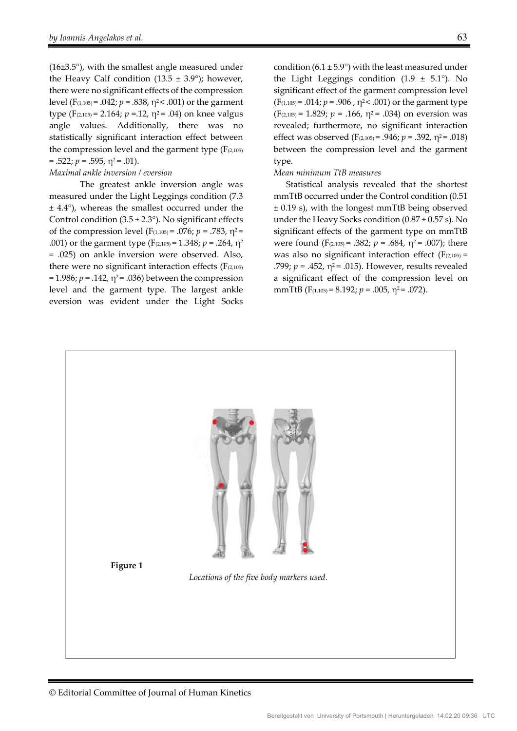(16±3.5°), with the smallest angle measured under the Heavy Calf condition (13.5  $\pm$  3.9°); however, there were no significant effects of the compression level (F<sub>(1,105)</sub> = .042; *p* = .838, η<sup>2</sup> < .001) or the garment type ( $F_{(2,105)} = 2.164$ ;  $p = 12$ ,  $\eta^2 = .04$ ) on knee valgus angle values. Additionally, there was no statistically significant interaction effect between the compression level and the garment type  $(F<sub>(2,105)</sub>)$  $= .522; p = .595, \eta^2 = .01$ ).

#### *Maximal ankle inversion / eversion*

 The greatest ankle inversion angle was measured under the Light Leggings condition (7.3 ± 4.4°), whereas the smallest occurred under the Control condition  $(3.5 \pm 2.3^{\circ})$ . No significant effects of the compression level ( $F_{(1,105)} = .076$ ;  $p = .783$ ,  $\eta^2 =$ .001) or the garment type (F(2,105) = 1.348; *p* = .264, η<sup>2</sup> = .025) on ankle inversion were observed. Also, there were no significant interaction effects  $(F<sub>(2,105)</sub>)$  $= 1.986; p = .142, \eta^2 = .036$ ) between the compression level and the garment type. The largest ankle eversion was evident under the Light Socks

condition (6.1  $\pm$  5.9°) with the least measured under the Light Leggings condition  $(1.9 \pm 5.1^{\circ})$ . No significant effect of the garment compression level  $(F_{(1,105)} = .014; p = .906, \eta^2 < .001)$  or the garment type  $(F_{(2,105)} = 1.829; p = .166, \eta^2 = .034)$  on eversion was revealed; furthermore, no significant interaction effect was observed ( $F_{(2,105)} = .946$ ;  $p = .392$ ,  $\eta^2 = .018$ ) between the compression level and the garment type.

#### *Mean minimum TtB measures*

Statistical analysis revealed that the shortest mmTtB occurred under the Control condition (0.51 ± 0.19 s), with the longest mmTtB being observed under the Heavy Socks condition  $(0.87 \pm 0.57 \text{ s})$ . No significant effects of the garment type on mmTtB were found  $(F_{(2,105)} = .382; p = .684, \eta^2 = .007)$ ; there was also no significant interaction effect  $(F<sub>(2,105)</sub> =$ .799;  $p = .452$ ,  $\eta^2 = .015$ ). However, results revealed a significant effect of the compression level on mmTtB ( $F_{(1,105)} = 8.192$ ;  $p = .005$ ,  $\eta^2 = .072$ ).

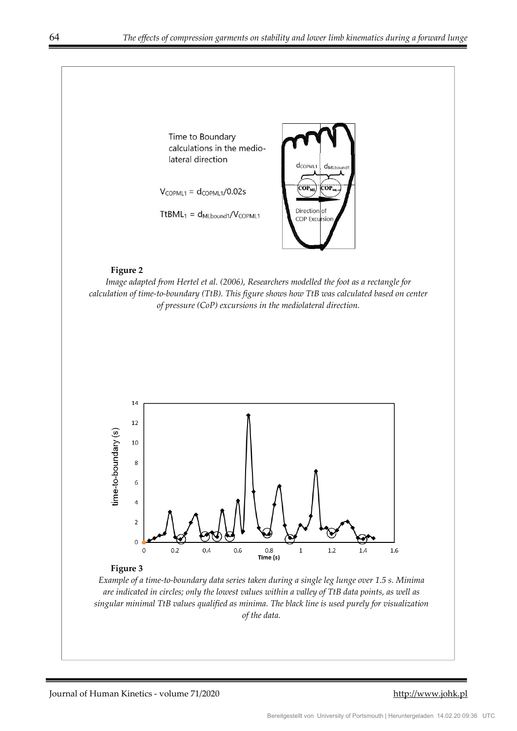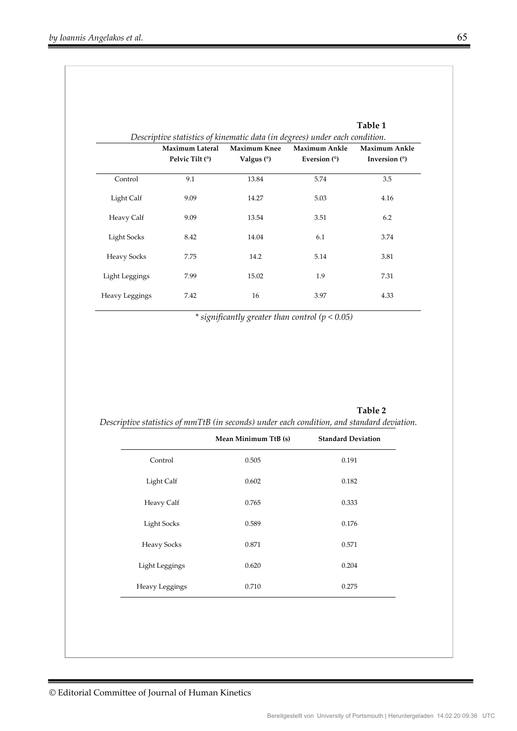|                    |                                             |                                     | Table 1<br>Descriptive statistics of kinematic data (in degrees) under each condition. |                                  |
|--------------------|---------------------------------------------|-------------------------------------|----------------------------------------------------------------------------------------|----------------------------------|
|                    | <b>Maximum Lateral</b><br>Pelvic Tilt $(°)$ | <b>Maximum Knee</b><br>Valgus $(°)$ | Maximum Ankle<br>Eversion $(°)$                                                        | Maximum Ankle<br>Inversion $(°)$ |
| Control            | 9.1                                         | 13.84                               | 5.74                                                                                   | 3.5                              |
| Light Calf         | 9.09                                        | 14.27                               | 5.03                                                                                   | 4.16                             |
| Heavy Calf         | 9.09                                        | 13.54                               | 3.51                                                                                   | 6.2                              |
| Light Socks        | 8.42                                        | 14.04                               | 6.1                                                                                    | 3.74                             |
| <b>Heavy Socks</b> | 7.75                                        | 14.2                                | 5.14                                                                                   | 3.81                             |
| Light Leggings     | 7.99                                        | 15.02                               | 1.9                                                                                    | 7.31                             |
| Heavy Leggings     | 7.42                                        | 16                                  | 3.97                                                                                   | 4.33                             |

*\* significantly greater than control (p < 0.05)* 

|                    | Mean Minimum TtB (s) | <b>Standard Deviation</b> |
|--------------------|----------------------|---------------------------|
| Control            | 0.505                | 0.191                     |
| Light Calf         | 0.602                | 0.182                     |
| Heavy Calf         | 0.765                | 0.333                     |
| <b>Light Socks</b> | 0.589                | 0.176                     |
| <b>Heavy Socks</b> | 0.871                | 0.571                     |
| Light Leggings     | 0.620                | 0.204                     |
| Heavy Leggings     | 0.710                | 0.275                     |

**Table 2**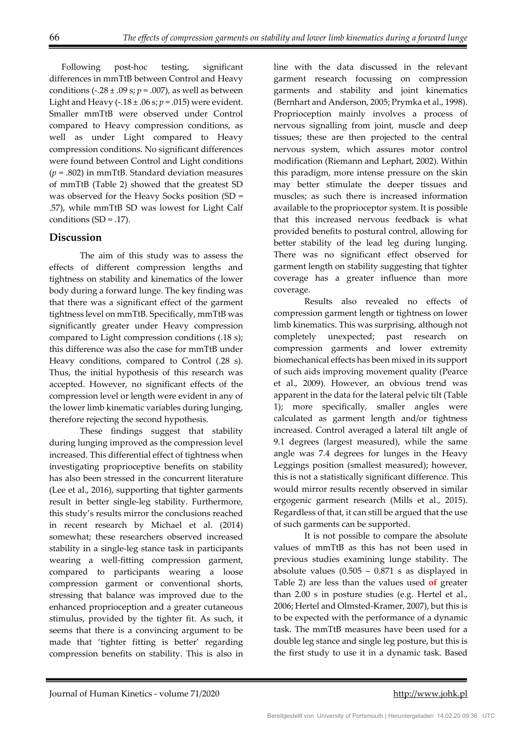Following post-hoc testing, significant differences in mmTtB between Control and Heavy conditions (-.28  $\pm$  .09 s;  $p = .007$ ), as well as between Light and Heavy  $(-.18 \pm .06 \text{ s}; p = .015)$  were evident. Smaller mmTtB were observed under Control compared to Heavy compression conditions, as well as under Light compared to Heavy compression conditions. No significant differences were found between Control and Light conditions (*p* = .802) in mmTtB. Standard deviation measures of mmTtB (Table 2) showed that the greatest SD was observed for the Heavy Socks position (SD = .57), while mmTtB SD was lowest for Light Calf conditions  $(SD = .17)$ .

## **Discussion**

The aim of this study was to assess the effects of different compression lengths and tightness on stability and kinematics of the lower body during a forward lunge. The key finding was that there was a significant effect of the garment tightness level on mmTtB. Specifically, mmTtB was significantly greater under Heavy compression compared to Light compression conditions (.18 s); this difference was also the case for mmTtB under Heavy conditions, compared to Control (.28 s). Thus, the initial hypothesis of this research was accepted. However, no significant effects of the compression level or length were evident in any of the lower limb kinematic variables during lunging, therefore rejecting the second hypothesis.

These findings suggest that stability during lunging improved as the compression level increased. This differential effect of tightness when investigating proprioceptive benefits on stability has also been stressed in the concurrent literature (Lee et al., 2016), supporting that tighter garments result in better single-leg stability. Furthermore, this study's results mirror the conclusions reached in recent research by Michael et al. (2014) somewhat; these researchers observed increased stability in a single-leg stance task in participants wearing a well-fitting compression garment, compared to participants wearing a loose compression garment or conventional shorts, stressing that balance was improved due to the enhanced proprioception and a greater cutaneous stimulus, provided by the tighter fit. As such, it seems that there is a convincing argument to be made that 'tighter fitting is better' regarding compression benefits on stability. This is also in

line with the data discussed in the relevant garment research focussing on compression garments and stability and joint kinematics (Bernhart and Anderson, 2005; Prymka et al., 1998). Proprioception mainly involves a process of nervous signalling from joint, muscle and deep tissues; these are then projected to the central nervous system, which assures motor control modification (Riemann and Lephart, 2002). Within this paradigm, more intense pressure on the skin may better stimulate the deeper tissues and muscles; as such there is increased information available to the proprioceptor system. It is possible that this increased nervous feedback is what provided benefits to postural control, allowing for better stability of the lead leg during lunging. There was no significant effect observed for garment length on stability suggesting that tighter coverage has a greater influence than more coverage.

Results also revealed no effects of compression garment length or tightness on lower limb kinematics. This was surprising, although not completely unexpected; past research on compression garments and lower extremity biomechanical effects has been mixed in its support of such aids improving movement quality (Pearce et al., 2009). However, an obvious trend was apparent in the data for the lateral pelvic tilt (Table 1); more specifically, smaller angles were calculated as garment length and/or tightness increased. Control averaged a lateral tilt angle of 9.1 degrees (largest measured), while the same angle was 7.4 degrees for lunges in the Heavy Leggings position (smallest measured); however, this is not a statistically significant difference. This would mirror results recently observed in similar ergogenic garment research (Mills et al., 2015). Regardless of that, it can still be argued that the use of such garments can be supported.

It is not possible to compare the absolute values of mmTtB as this has not been used in previous studies examining lunge stability. The absolute values  $(0.505 - 0.871 \text{ s as displayed in})$ Table 2) are less than the values used **of** greater than 2.00 s in posture studies (e.g. Hertel et al., 2006; Hertel and Olmsted-Kramer, 2007), but this is to be expected with the performance of a dynamic task. The mmTtB measures have been used for a double leg stance and single leg posture, but this is the first study to use it in a dynamic task. Based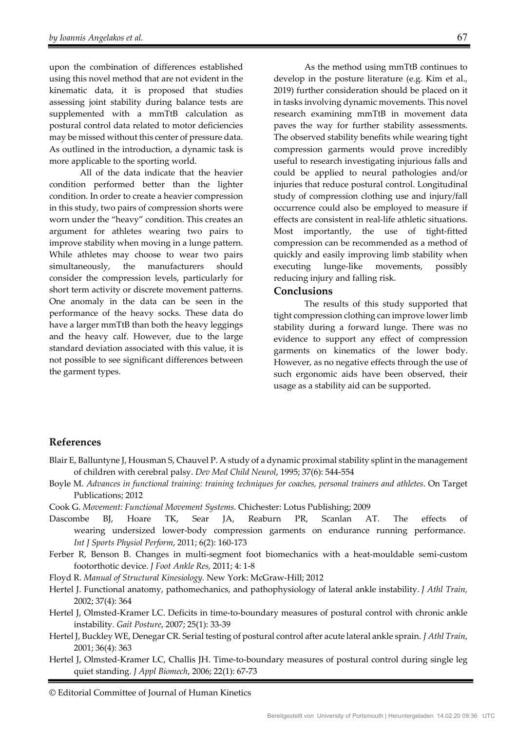upon the combination of differences established using this novel method that are not evident in the kinematic data, it is proposed that studies assessing joint stability during balance tests are supplemented with a mmTtB calculation as postural control data related to motor deficiencies may be missed without this center of pressure data. As outlined in the introduction, a dynamic task is more applicable to the sporting world.

All of the data indicate that the heavier condition performed better than the lighter condition. In order to create a heavier compression in this study, two pairs of compression shorts were worn under the "heavy" condition. This creates an argument for athletes wearing two pairs to improve stability when moving in a lunge pattern. While athletes may choose to wear two pairs simultaneously, the manufacturers should consider the compression levels, particularly for short term activity or discrete movement patterns. One anomaly in the data can be seen in the performance of the heavy socks. These data do have a larger mmTtB than both the heavy leggings and the heavy calf. However, due to the large standard deviation associated with this value, it is not possible to see significant differences between the garment types.

As the method using mmTtB continues to develop in the posture literature (e.g. Kim et al., 2019) further consideration should be placed on it in tasks involving dynamic movements. This novel research examining mmTtB in movement data paves the way for further stability assessments. The observed stability benefits while wearing tight compression garments would prove incredibly useful to research investigating injurious falls and could be applied to neural pathologies and/or injuries that reduce postural control. Longitudinal study of compression clothing use and injury/fall occurrence could also be employed to measure if effects are consistent in real-life athletic situations. Most importantly, the use of tight-fitted compression can be recommended as a method of quickly and easily improving limb stability when executing lunge-like movements, possibly reducing injury and falling risk.

#### **Conclusions**

The results of this study supported that tight compression clothing can improve lower limb stability during a forward lunge. There was no evidence to support any effect of compression garments on kinematics of the lower body. However, as no negative effects through the use of such ergonomic aids have been observed, their usage as a stability aid can be supported.

#### **References**

- Blair E, Balluntyne J, Housman S, Chauvel P. A study of a dynamic proximal stability splint in the management of children with cerebral palsy. *Dev Med Child Neurol*, 1995; 37(6): 544-554
- Boyle M. *Advances in functional training: training techniques for coaches, personal trainers and athletes*. On Target Publications; 2012
- Cook G. *Movement: Functional Movement Systems*. Chichester: Lotus Publishing; 2009
- Dascombe BJ, Hoare TK, Sear JA, Reaburn PR, Scanlan AT. The effects of wearing undersized lower-body compression garments on endurance running performance. *Int J Sports Physiol Perform*, 2011; 6(2): 160-173
- Ferber R, Benson B. Changes in multi-segment foot biomechanics with a heat-mouldable semi-custom footorthotic device. *J Foot Ankle Res,* 2011; 4: 1-8
- Floyd R. *Manual of Structural Kinesiology.* New York: McGraw-Hill; 2012
- Hertel J. Functional anatomy, pathomechanics, and pathophysiology of lateral ankle instability. *J Athl Train,*  2002; 37(4): 364
- Hertel J, Olmsted-Kramer LC. Deficits in time-to-boundary measures of postural control with chronic ankle instability. *Gait Posture*, 2007; 25(1): 33-39
- Hertel J, Buckley WE, Denegar CR. Serial testing of postural control after acute lateral ankle sprain. *J Athl Train*, 2001; 36(4): 363
- Hertel J, Olmsted-Kramer LC, Challis JH. Time-to-boundary measures of postural control during single leg quiet standing. *J Appl Biomech*, 2006; 22(1): 67-73